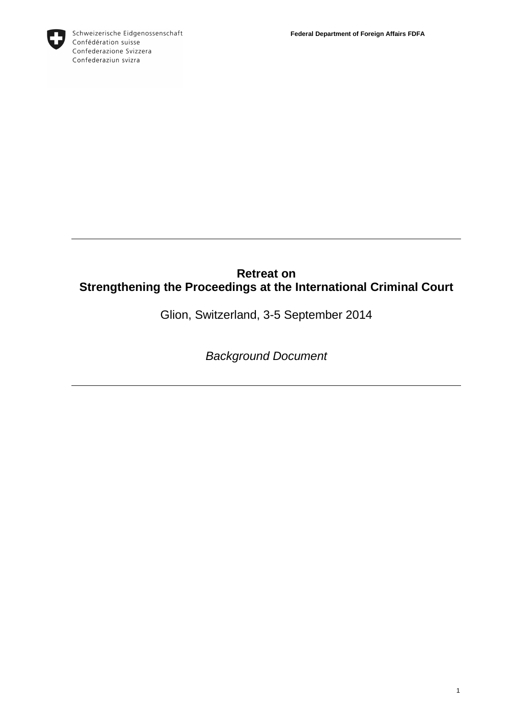

# **Retreat on Strengthening the Proceedings at the International Criminal Court**

Glion, Switzerland, 3-5 September 2014

Background Document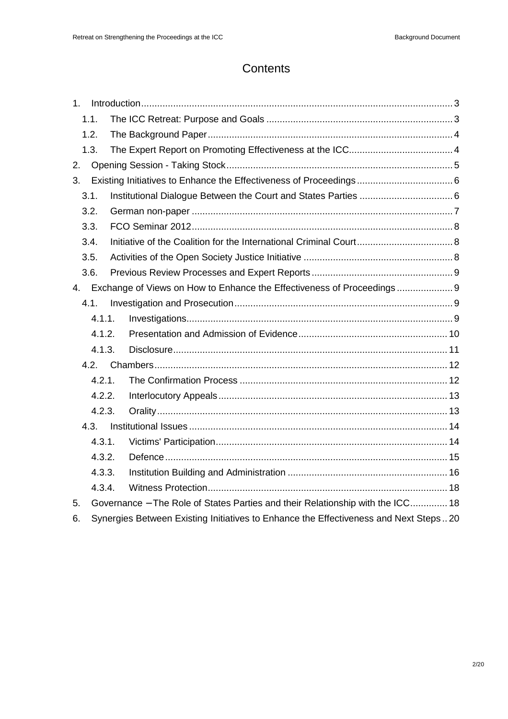# **Contents**

| $1_{-}$                                                                    |                                                                                      |                                                                                |  |
|----------------------------------------------------------------------------|--------------------------------------------------------------------------------------|--------------------------------------------------------------------------------|--|
|                                                                            | 1.1.                                                                                 |                                                                                |  |
|                                                                            | 1.2.                                                                                 |                                                                                |  |
|                                                                            | 1.3.                                                                                 |                                                                                |  |
| 2.                                                                         |                                                                                      |                                                                                |  |
| 3.                                                                         |                                                                                      |                                                                                |  |
|                                                                            | 3.1.                                                                                 |                                                                                |  |
|                                                                            | 3.2.                                                                                 |                                                                                |  |
|                                                                            | 3.3.                                                                                 |                                                                                |  |
|                                                                            | 3.4.                                                                                 |                                                                                |  |
|                                                                            | 3.5.                                                                                 |                                                                                |  |
|                                                                            | 3.6.                                                                                 |                                                                                |  |
| Exchange of Views on How to Enhance the Effectiveness of Proceedings<br>4. |                                                                                      |                                                                                |  |
|                                                                            | 4.1.                                                                                 |                                                                                |  |
|                                                                            | 4.1.1.                                                                               |                                                                                |  |
|                                                                            | 4.1.2.                                                                               |                                                                                |  |
|                                                                            | 4.1.3.                                                                               |                                                                                |  |
| 4.2.                                                                       |                                                                                      |                                                                                |  |
|                                                                            | 4.2.1.                                                                               |                                                                                |  |
|                                                                            | 4.2.2.                                                                               |                                                                                |  |
|                                                                            | 4.2.3.                                                                               |                                                                                |  |
|                                                                            | 4.3.                                                                                 |                                                                                |  |
|                                                                            | 4.3.1.                                                                               |                                                                                |  |
|                                                                            | 4.3.2.                                                                               |                                                                                |  |
|                                                                            | 4.3.3.                                                                               |                                                                                |  |
|                                                                            | 4.3.4.                                                                               |                                                                                |  |
| 5.                                                                         |                                                                                      | Governance - The Role of States Parties and their Relationship with the ICC 18 |  |
| 6.                                                                         | Synergies Between Existing Initiatives to Enhance the Effectiveness and Next Steps20 |                                                                                |  |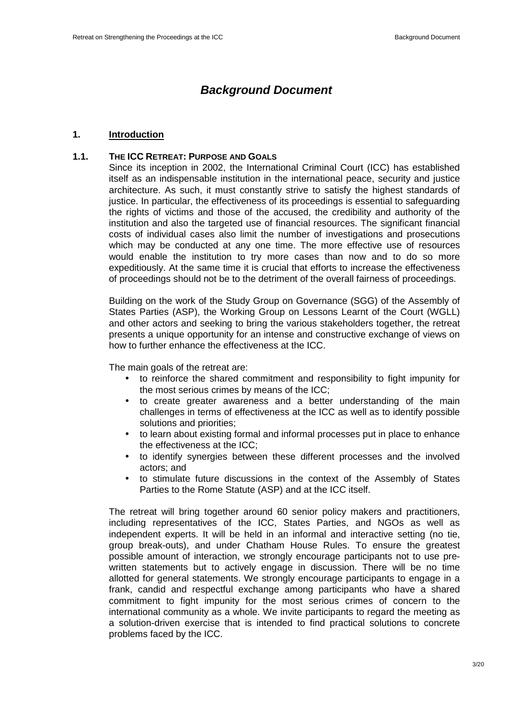# **Background Document**

#### **1. Introduction**

### **1.1. THE ICC RETREAT: PURPOSE AND GOALS**

Since its inception in 2002, the International Criminal Court (ICC) has established itself as an indispensable institution in the international peace, security and justice architecture. As such, it must constantly strive to satisfy the highest standards of justice. In particular, the effectiveness of its proceedings is essential to safeguarding the rights of victims and those of the accused, the credibility and authority of the institution and also the targeted use of financial resources. The significant financial costs of individual cases also limit the number of investigations and prosecutions which may be conducted at any one time. The more effective use of resources would enable the institution to try more cases than now and to do so more expeditiously. At the same time it is crucial that efforts to increase the effectiveness of proceedings should not be to the detriment of the overall fairness of proceedings.

Building on the work of the Study Group on Governance (SGG) of the Assembly of States Parties (ASP), the Working Group on Lessons Learnt of the Court (WGLL) and other actors and seeking to bring the various stakeholders together, the retreat presents a unique opportunity for an intense and constructive exchange of views on how to further enhance the effectiveness at the ICC.

The main goals of the retreat are:

- to reinforce the shared commitment and responsibility to fight impunity for the most serious crimes by means of the ICC;
- to create greater awareness and a better understanding of the main challenges in terms of effectiveness at the ICC as well as to identify possible solutions and priorities;
- to learn about existing formal and informal processes put in place to enhance the effectiveness at the ICC;
- to identify synergies between these different processes and the involved actors; and
- to stimulate future discussions in the context of the Assembly of States Parties to the Rome Statute (ASP) and at the ICC itself.

The retreat will bring together around 60 senior policy makers and practitioners, including representatives of the ICC, States Parties, and NGOs as well as independent experts. It will be held in an informal and interactive setting (no tie, group break-outs), and under Chatham House Rules. To ensure the greatest possible amount of interaction, we strongly encourage participants not to use prewritten statements but to actively engage in discussion. There will be no time allotted for general statements. We strongly encourage participants to engage in a frank, candid and respectful exchange among participants who have a shared commitment to fight impunity for the most serious crimes of concern to the international community as a whole. We invite participants to regard the meeting as a solution-driven exercise that is intended to find practical solutions to concrete problems faced by the ICC.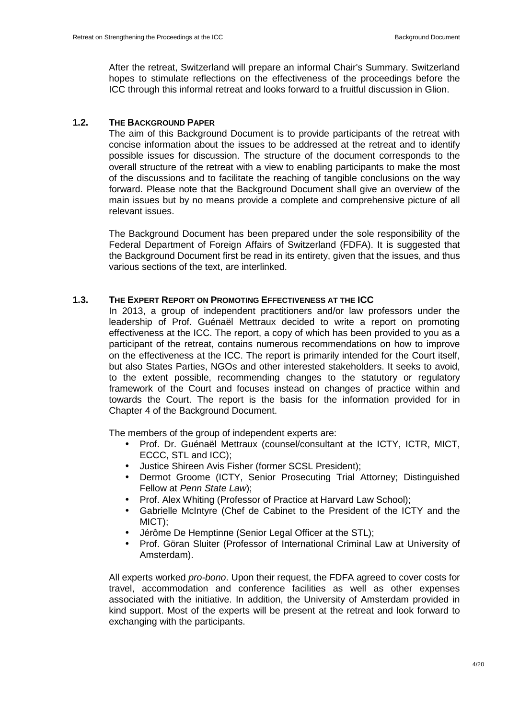After the retreat, Switzerland will prepare an informal Chair's Summary. Switzerland hopes to stimulate reflections on the effectiveness of the proceedings before the ICC through this informal retreat and looks forward to a fruitful discussion in Glion.

## **1.2. THE BACKGROUND PAPER**

The aim of this Background Document is to provide participants of the retreat with concise information about the issues to be addressed at the retreat and to identify possible issues for discussion. The structure of the document corresponds to the overall structure of the retreat with a view to enabling participants to make the most of the discussions and to facilitate the reaching of tangible conclusions on the way forward. Please note that the Background Document shall give an overview of the main issues but by no means provide a complete and comprehensive picture of all relevant issues.

The Background Document has been prepared under the sole responsibility of the Federal Department of Foreign Affairs of Switzerland (FDFA). It is suggested that the Background Document first be read in its entirety, given that the issues, and thus various sections of the text, are interlinked.

## **1.3. THE EXPERT REPORT ON PROMOTING EFFECTIVENESS AT THE ICC**

In 2013, a group of independent practitioners and/or law professors under the leadership of Prof. Guénaël Mettraux decided to write a report on promoting effectiveness at the ICC. The report, a copy of which has been provided to you as a participant of the retreat, contains numerous recommendations on how to improve on the effectiveness at the ICC. The report is primarily intended for the Court itself, but also States Parties, NGOs and other interested stakeholders. It seeks to avoid, to the extent possible, recommending changes to the statutory or regulatory framework of the Court and focuses instead on changes of practice within and towards the Court. The report is the basis for the information provided for in Chapter 4 of the Background Document.

The members of the group of independent experts are:

- Prof. Dr. Guénaël Mettraux (counsel/consultant at the ICTY, ICTR, MICT, ECCC, STL and ICC);
- Justice Shireen Avis Fisher (former SCSL President);
- Dermot Groome (ICTY, Senior Prosecuting Trial Attorney; Distinguished Fellow at Penn State Law);
- Prof. Alex Whiting (Professor of Practice at Harvard Law School);
- Gabrielle McIntyre (Chef de Cabinet to the President of the ICTY and the MICT);
- Jérôme De Hemptinne (Senior Legal Officer at the STL);
- Prof. Göran Sluiter (Professor of International Criminal Law at University of Amsterdam).

All experts worked pro-bono. Upon their request, the FDFA agreed to cover costs for travel, accommodation and conference facilities as well as other expenses associated with the initiative. In addition, the University of Amsterdam provided in kind support. Most of the experts will be present at the retreat and look forward to exchanging with the participants.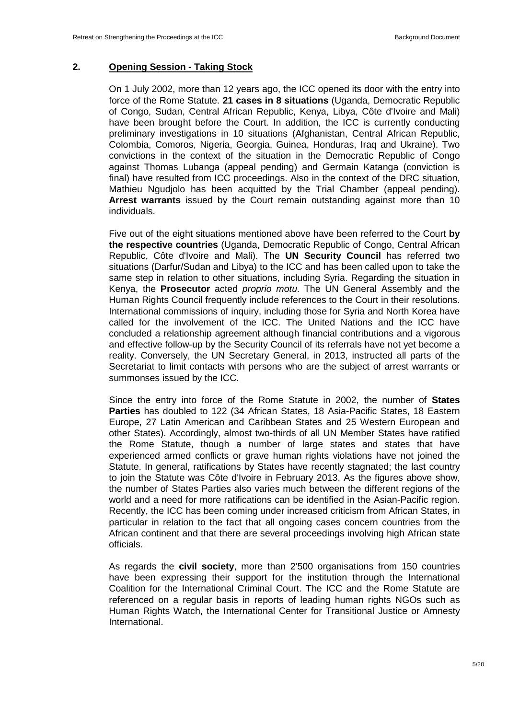#### **2. Opening Session - Taking Stock**

On 1 July 2002, more than 12 years ago, the ICC opened its door with the entry into force of the Rome Statute. **21 cases in 8 situations** (Uganda, Democratic Republic of Congo, Sudan, Central African Republic, Kenya, Libya, Côte d'Ivoire and Mali) have been brought before the Court. In addition, the ICC is currently conducting preliminary investigations in 10 situations (Afghanistan, Central African Republic, Colombia, Comoros, Nigeria, Georgia, Guinea, Honduras, Iraq and Ukraine). Two convictions in the context of the situation in the Democratic Republic of Congo against Thomas Lubanga (appeal pending) and Germain Katanga (conviction is final) have resulted from ICC proceedings. Also in the context of the DRC situation, Mathieu Ngudjolo has been acquitted by the Trial Chamber (appeal pending). **Arrest warrants** issued by the Court remain outstanding against more than 10 individuals.

Five out of the eight situations mentioned above have been referred to the Court **by the respective countries** (Uganda, Democratic Republic of Congo, Central African Republic, Côte d'Ivoire and Mali). The **UN Security Council** has referred two situations (Darfur/Sudan and Libya) to the ICC and has been called upon to take the same step in relation to other situations, including Syria. Regarding the situation in Kenya, the **Prosecutor** acted proprio motu. The UN General Assembly and the Human Rights Council frequently include references to the Court in their resolutions. International commissions of inquiry, including those for Syria and North Korea have called for the involvement of the ICC. The United Nations and the ICC have concluded a relationship agreement although financial contributions and a vigorous and effective follow-up by the Security Council of its referrals have not yet become a reality. Conversely, the UN Secretary General, in 2013, instructed all parts of the Secretariat to limit contacts with persons who are the subject of arrest warrants or summonses issued by the ICC.

Since the entry into force of the Rome Statute in 2002, the number of **States Parties** has doubled to 122 (34 African States, 18 Asia-Pacific States, 18 Eastern Europe, 27 Latin American and Caribbean States and 25 Western European and other States). Accordingly, almost two-thirds of all UN Member States have ratified the Rome Statute, though a number of large states and states that have experienced armed conflicts or grave human rights violations have not joined the Statute. In general, ratifications by States have recently stagnated; the last country to join the Statute was Côte d'Ivoire in February 2013. As the figures above show, the number of States Parties also varies much between the different regions of the world and a need for more ratifications can be identified in the Asian-Pacific region. Recently, the ICC has been coming under increased criticism from African States, in particular in relation to the fact that all ongoing cases concern countries from the African continent and that there are several proceedings involving high African state officials.

As regards the **civil society**, more than 2'500 organisations from 150 countries have been expressing their support for the institution through the International Coalition for the International Criminal Court. The ICC and the Rome Statute are referenced on a regular basis in reports of leading human rights NGOs such as Human Rights Watch, the International Center for Transitional Justice or Amnesty International.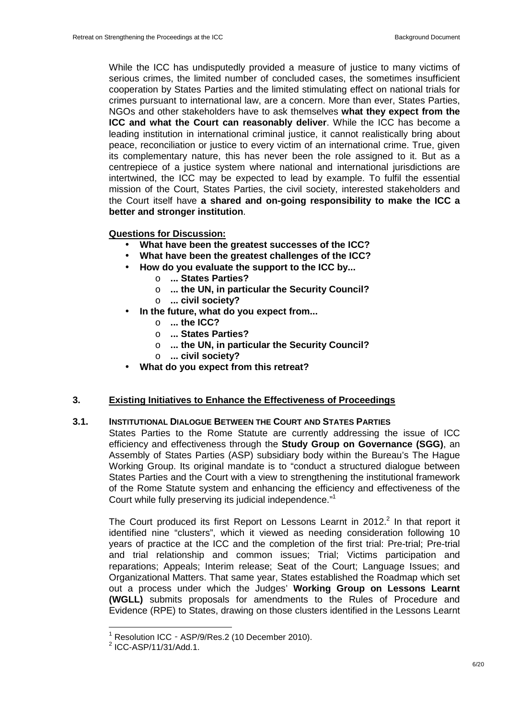While the ICC has undisputedly provided a measure of justice to many victims of serious crimes, the limited number of concluded cases, the sometimes insufficient cooperation by States Parties and the limited stimulating effect on national trials for crimes pursuant to international law, are a concern. More than ever, States Parties, NGOs and other stakeholders have to ask themselves **what they expect from the ICC and what the Court can reasonably deliver**. While the ICC has become a leading institution in international criminal justice, it cannot realistically bring about peace, reconciliation or justice to every victim of an international crime. True, given its complementary nature, this has never been the role assigned to it. But as a centrepiece of a justice system where national and international jurisdictions are intertwined, the ICC may be expected to lead by example. To fulfil the essential mission of the Court, States Parties, the civil society, interested stakeholders and the Court itself have **a shared and on-going responsibility to make the ICC a better and stronger institution**.

#### **Questions for Discussion:**

- **What have been the greatest successes of the ICC?**
- **What have been the greatest challenges of the ICC?**
- **How do you evaluate the support to the ICC by...** 
	- o **... States Parties?**
	- o **... the UN, in particular the Security Council?**
	- o **... civil society?**
- **In the future, what do you expect from...** 
	- o **... the ICC?**
	- o **... States Parties?**
	- o **... the UN, in particular the Security Council?**
	- o **... civil society?**
- **What do you expect from this retreat?**

# **3. Existing Initiatives to Enhance the Effectiveness of Proceedings**

## **3.1. INSTITUTIONAL DIALOGUE BETWEEN THE COURT AND STATES PARTIES**

States Parties to the Rome Statute are currently addressing the issue of ICC efficiency and effectiveness through the **Study Group on Governance (SGG)**, an Assembly of States Parties (ASP) subsidiary body within the Bureau's The Hague Working Group. Its original mandate is to "conduct a structured dialogue between States Parties and the Court with a view to strengthening the institutional framework of the Rome Statute system and enhancing the efficiency and effectiveness of the Court while fully preserving its judicial independence."<sup>1</sup>

The Court produced its first Report on Lessons Learnt in 2012. $^2$  In that report it identified nine "clusters", which it viewed as needing consideration following 10 years of practice at the ICC and the completion of the first trial: Pre-trial; Pre-trial and trial relationship and common issues; Trial; Victims participation and reparations; Appeals; Interim release; Seat of the Court; Language Issues; and Organizational Matters. That same year, States established the Roadmap which set out a process under which the Judges' **Working Group on Lessons Learnt (WGLL)** submits proposals for amendments to the Rules of Procedure and Evidence (RPE) to States, drawing on those clusters identified in the Lessons Learnt

<sup>1</sup> Resolution ICC‐ASP/9/Res.2 (10 December 2010).

 $^2$  ICC-ASP/11/31/Add.1.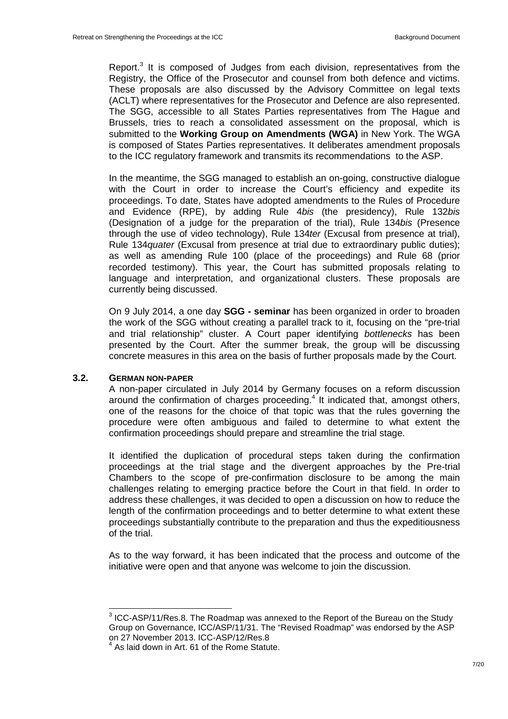Report.<sup>3</sup> It is composed of Judges from each division, representatives from the Registry, the Office of the Prosecutor and counsel from both defence and victims. These proposals are also discussed by the Advisory Committee on legal texts (ACLT) where representatives for the Prosecutor and Defence are also represented. The SGG, accessible to all States Parties representatives from The Hague and Brussels, tries to reach a consolidated assessment on the proposal, which is submitted to the **Working Group on Amendments (WGA)** in New York. The WGA is composed of States Parties representatives. It deliberates amendment proposals to the ICC regulatory framework and transmits its recommendations to the ASP.

In the meantime, the SGG managed to establish an on-going, constructive dialogue with the Court in order to increase the Court's efficiency and expedite its proceedings. To date, States have adopted amendments to the Rules of Procedure and Evidence (RPE), by adding Rule 4bis (the presidency), Rule 132bis (Designation of a judge for the preparation of the trial), Rule 134bis (Presence through the use of video technology), Rule 134ter (Excusal from presence at trial), Rule 134quater (Excusal from presence at trial due to extraordinary public duties); as well as amending Rule 100 (place of the proceedings) and Rule 68 (prior recorded testimony). This year, the Court has submitted proposals relating to language and interpretation, and organizational clusters. These proposals are currently being discussed.

On 9 July 2014, a one day **SGG - seminar** has been organized in order to broaden the work of the SGG without creating a parallel track to it, focusing on the "pre-trial and trial relationship" cluster. A Court paper identifying bottlenecks has been presented by the Court. After the summer break, the group will be discussing concrete measures in this area on the basis of further proposals made by the Court.

#### **3.2. GERMAN NON-PAPER**

 $\overline{\phantom{a}}$ 

A non-paper circulated in July 2014 by Germany focuses on a reform discussion around the confirmation of charges proceeding. $4$  It indicated that, amongst others, one of the reasons for the choice of that topic was that the rules governing the procedure were often ambiguous and failed to determine to what extent the confirmation proceedings should prepare and streamline the trial stage.

It identified the duplication of procedural steps taken during the confirmation proceedings at the trial stage and the divergent approaches by the Pre-trial Chambers to the scope of pre-confirmation disclosure to be among the main challenges relating to emerging practice before the Court in that field. In order to address these challenges, it was decided to open a discussion on how to reduce the length of the confirmation proceedings and to better determine to what extent these proceedings substantially contribute to the preparation and thus the expeditiousness of the trial.

As to the way forward, it has been indicated that the process and outcome of the initiative were open and that anyone was welcome to join the discussion.

 $3$  ICC-ASP/11/Res.8. The Roadmap was annexed to the Report of the Bureau on the Study Group on Governance, ICC/ASP/11/31. The "Revised Roadmap" was endorsed by the ASP on 27 November 2013. ICC-ASP/12/Res.8

 $<sup>4</sup>$  As laid down in Art. 61 of the Rome Statute.</sup>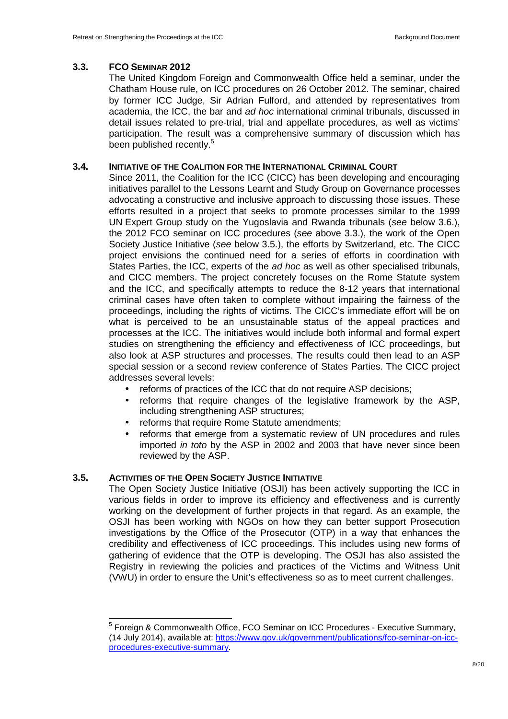## **3.3. FCO SEMINAR 2012**

The United Kingdom Foreign and Commonwealth Office held a seminar, under the Chatham House rule, on ICC procedures on 26 October 2012. The seminar, chaired by former ICC Judge, Sir Adrian Fulford, and attended by representatives from academia, the ICC, the bar and ad hoc international criminal tribunals, discussed in detail issues related to pre-trial, trial and appellate procedures, as well as victims' participation. The result was a comprehensive summary of discussion which has been published recently.<sup>5</sup>

## **3.4. INITIATIVE OF THE COALITION FOR THE INTERNATIONAL CRIMINAL COURT**

Since 2011, the Coalition for the ICC (CICC) has been developing and encouraging initiatives parallel to the Lessons Learnt and Study Group on Governance processes advocating a constructive and inclusive approach to discussing those issues. These efforts resulted in a project that seeks to promote processes similar to the 1999 UN Expert Group study on the Yugoslavia and Rwanda tribunals (see below 3.6.), the 2012 FCO seminar on ICC procedures (see above 3.3.), the work of the Open Society Justice Initiative (see below 3.5.), the efforts by Switzerland, etc. The CICC project envisions the continued need for a series of efforts in coordination with States Parties, the ICC, experts of the *ad hoc* as well as other specialised tribunals, and CICC members. The project concretely focuses on the Rome Statute system and the ICC, and specifically attempts to reduce the 8-12 years that international criminal cases have often taken to complete without impairing the fairness of the proceedings, including the rights of victims. The CICC's immediate effort will be on what is perceived to be an unsustainable status of the appeal practices and processes at the ICC. The initiatives would include both informal and formal expert studies on strengthening the efficiency and effectiveness of ICC proceedings, but also look at ASP structures and processes. The results could then lead to an ASP special session or a second review conference of States Parties. The CICC project addresses several levels:

- reforms of practices of the ICC that do not require ASP decisions;
- reforms that require changes of the legislative framework by the ASP, including strengthening ASP structures;
- reforms that require Rome Statute amendments;
- reforms that emerge from a systematic review of UN procedures and rules imported in toto by the ASP in 2002 and 2003 that have never since been reviewed by the ASP.

## **3.5. ACTIVITIES OF THE OPEN SOCIETY JUSTICE INITIATIVE**

The Open Society Justice Initiative (OSJI) has been actively supporting the ICC in various fields in order to improve its efficiency and effectiveness and is currently working on the development of further projects in that regard. As an example, the OSJI has been working with NGOs on how they can better support Prosecution investigations by the Office of the Prosecutor (OTP) in a way that enhances the credibility and effectiveness of ICC proceedings. This includes using new forms of gathering of evidence that the OTP is developing. The OSJI has also assisted the Registry in reviewing the policies and practices of the Victims and Witness Unit (VWU) in order to ensure the Unit's effectiveness so as to meet current challenges.

 5 Foreign & Commonwealth Office, FCO Seminar on ICC Procedures - Executive Summary, (14 July 2014), available at: https://www.gov.uk/government/publications/fco-seminar-on-iccprocedures-executive-summary.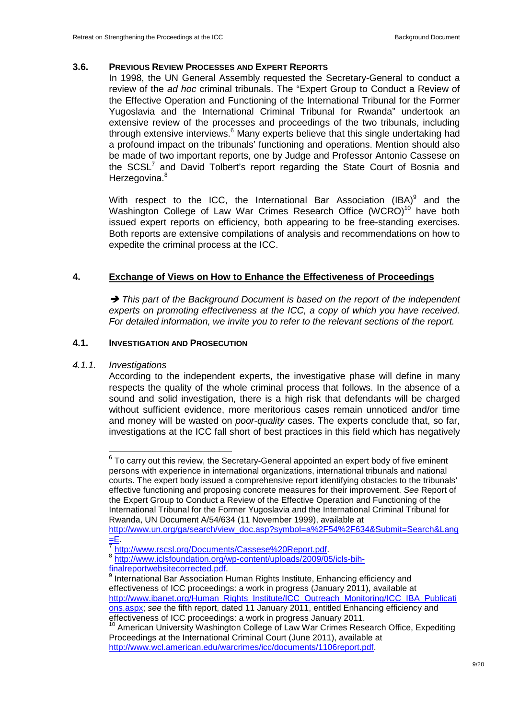#### **3.6. PREVIOUS REVIEW PROCESSES AND EXPERT REPORTS**

In 1998, the UN General Assembly requested the Secretary-General to conduct a review of the ad hoc criminal tribunals. The "Expert Group to Conduct a Review of the Effective Operation and Functioning of the International Tribunal for the Former Yugoslavia and the International Criminal Tribunal for Rwanda" undertook an extensive review of the processes and proceedings of the two tribunals, including through extensive interviews.<sup>6</sup> Many experts believe that this single undertaking had a profound impact on the tribunals' functioning and operations. Mention should also be made of two important reports, one by Judge and Professor Antonio Cassese on the  $SCSL<sup>7</sup>$  and David Tolbert's report regarding the State Court of Bosnia and Herzegovina.<sup>8</sup>

With respect to the ICC, the International Bar Association  ${\sf (IBA)}^9$  and the Washington College of Law War Crimes Research Office (WCRO)<sup>10</sup> have both issued expert reports on efficiency, both appearing to be free-standing exercises. Both reports are extensive compilations of analysis and recommendations on how to expedite the criminal process at the ICC.

## **4. Exchange of Views on How to Enhance the Effectiveness of Proceedings**

 $\rightarrow$  This part of the Background Document is based on the report of the independent experts on promoting effectiveness at the ICC, a copy of which you have received. For detailed information, we invite you to refer to the relevant sections of the report.

#### **4.1. INVESTIGATION AND PROSECUTION**

4.1.1. Investigations

 $\overline{\phantom{a}}$ 

According to the independent experts, the investigative phase will define in many respects the quality of the whole criminal process that follows. In the absence of a sound and solid investigation, there is a high risk that defendants will be charged without sufficient evidence, more meritorious cases remain unnoticed and/or time and money will be wasted on *poor-quality* cases. The experts conclude that, so far, investigations at the ICC fall short of best practices in this field which has negatively

 $6$  To carry out this review, the Secretary-General appointed an expert body of five eminent persons with experience in international organizations, international tribunals and national courts. The expert body issued a comprehensive report identifying obstacles to the tribunals' effective functioning and proposing concrete measures for their improvement. See Report of the Expert Group to Conduct a Review of the Effective Operation and Functioning of the International Tribunal for the Former Yugoslavia and the International Criminal Tribunal for Rwanda, UN Document A/54/634 (11 November 1999), available at

http://www.un.org/ga/search/view\_doc.asp?symbol=a%2F54%2F634&Submit=Search&Lang  $=E$ .

<sup>&</sup>lt;sup>7</sup> http://www.rscsl.org/Documents/Cassese%20Report.pdf.

<sup>8</sup> http://www.iclsfoundation.org/wp-content/uploads/2009/05/icls-bihfinalreportwebsitecorrected.pdf.

<sup>&</sup>lt;sup>9</sup> International Bar Association Human Rights Institute, Enhancing efficiency and effectiveness of ICC proceedings: a work in progress (January 2011), available at http://www.ibanet.org/Human\_Rights\_Institute/ICC\_Outreach\_Monitoring/ICC\_IBA\_Publicati ons.aspx; see the fifth report, dated 11 January 2011, entitled Enhancing efficiency and effectiveness of ICC proceedings: a work in progress January 2011.

<sup>&</sup>lt;sup>10</sup> American University Washington College of Law War Crimes Research Office, Expediting Proceedings at the International Criminal Court (June 2011), available at http://www.wcl.american.edu/warcrimes/icc/documents/1106report.pdf.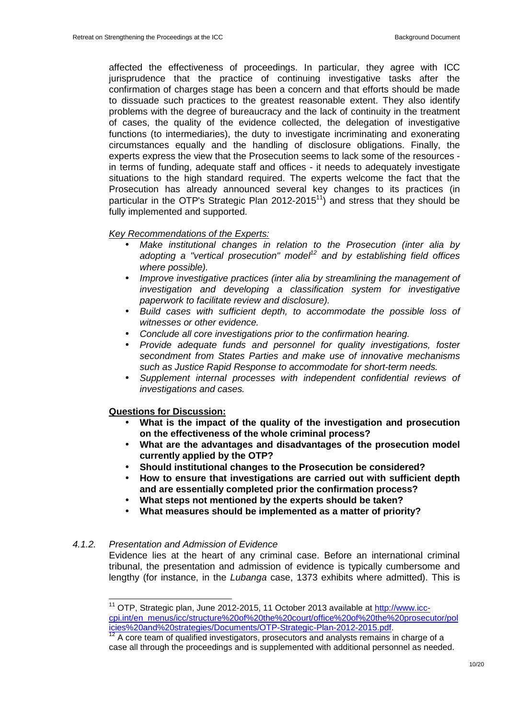affected the effectiveness of proceedings. In particular, they agree with ICC jurisprudence that the practice of continuing investigative tasks after the confirmation of charges stage has been a concern and that efforts should be made to dissuade such practices to the greatest reasonable extent. They also identify problems with the degree of bureaucracy and the lack of continuity in the treatment of cases, the quality of the evidence collected, the delegation of investigative functions (to intermediaries), the duty to investigate incriminating and exonerating circumstances equally and the handling of disclosure obligations. Finally, the experts express the view that the Prosecution seems to lack some of the resources in terms of funding, adequate staff and offices - it needs to adequately investigate situations to the high standard required. The experts welcome the fact that the Prosecution has already announced several key changes to its practices (in particular in the OTP's Strategic Plan  $2012-2015<sup>11</sup>$  and stress that they should be fully implemented and supported.

#### Key Recommendations of the Experts:

- Make institutional changes in relation to the Prosecution (inter alia by adopting a "vertical prosecution" model<sup>12</sup> and by establishing field offices where possible).
- Improve investigative practices (inter alia by streamlining the management of investigation and developing a classification system for investigative paperwork to facilitate review and disclosure).
- Build cases with sufficient depth, to accommodate the possible loss of witnesses or other evidence.
- Conclude all core investigations prior to the confirmation hearing.
- Provide adequate funds and personnel for quality investigations, foster secondment from States Parties and make use of innovative mechanisms such as Justice Rapid Response to accommodate for short-term needs.
- Supplement internal processes with independent confidential reviews of investigations and cases.

#### **Questions for Discussion:**

- **What is the impact of the quality of the investigation and prosecution on the effectiveness of the whole criminal process?**
- **What are the advantages and disadvantages of the prosecution model currently applied by the OTP?**
- **Should institutional changes to the Prosecution be considered?**
- **How to ensure that investigations are carried out with sufficient depth and are essentially completed prior the confirmation process?**
- **What steps not mentioned by the experts should be taken?**
- **What measures should be implemented as a matter of priority?**

## 4.1.2. Presentation and Admission of Evidence

 $\overline{a}$ 

Evidence lies at the heart of any criminal case. Before an international criminal tribunal, the presentation and admission of evidence is typically cumbersome and lengthy (for instance, in the *Lubanga* case, 1373 exhibits where admitted). This is

<sup>&</sup>lt;sup>11</sup> OTP, Strategic plan, June 2012-2015, 11 October 2013 available at http://www.icccpi.int/en\_menus/icc/structure%20of%20the%20court/office%20of%20the%20prosecutor/pol icies%20and%20strategies/Documents/OTP-Strategic-Plan-2012-2015.pdf.

<sup>&</sup>lt;sup>12</sup> A core team of qualified investigators, prosecutors and analysts remains in charge of a case all through the proceedings and is supplemented with additional personnel as needed.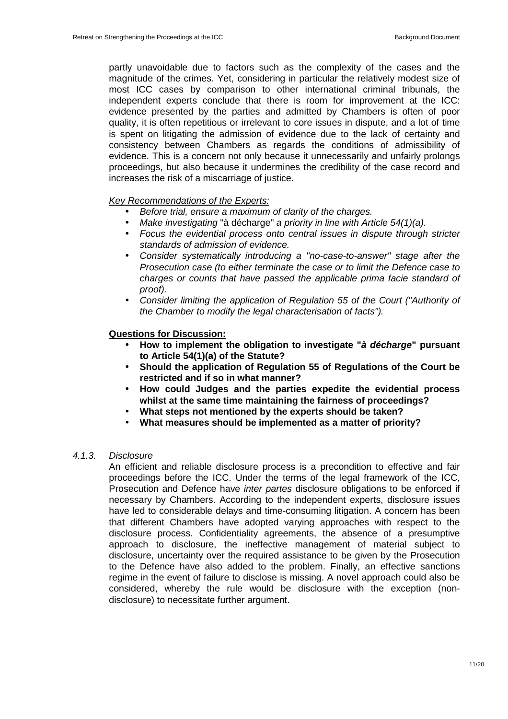partly unavoidable due to factors such as the complexity of the cases and the magnitude of the crimes. Yet, considering in particular the relatively modest size of most ICC cases by comparison to other international criminal tribunals, the independent experts conclude that there is room for improvement at the ICC: evidence presented by the parties and admitted by Chambers is often of poor quality, it is often repetitious or irrelevant to core issues in dispute, and a lot of time is spent on litigating the admission of evidence due to the lack of certainty and consistency between Chambers as regards the conditions of admissibility of evidence. This is a concern not only because it unnecessarily and unfairly prolongs proceedings, but also because it undermines the credibility of the case record and increases the risk of a miscarriage of justice.

#### Key Recommendations of the Experts:

- Before trial, ensure a maximum of clarity of the charges.
- Make investigating "à décharge" a priority in line with Article 54(1)(a).
- Focus the evidential process onto central issues in dispute through stricter standards of admission of evidence.
- Consider systematically introducing a "no-case-to-answer" stage after the Prosecution case (to either terminate the case or to limit the Defence case to charges or counts that have passed the applicable prima facie standard of proof).
- Consider limiting the application of Regulation 55 of the Court ("Authority of the Chamber to modify the legal characterisation of facts").

#### **Questions for Discussion:**

- **How to implement the obligation to investigate "à décharge" pursuant to Article 54(1)(a) of the Statute?**
- **Should the application of Regulation 55 of Regulations of the Court be restricted and if so in what manner?**
- **How could Judges and the parties expedite the evidential process whilst at the same time maintaining the fairness of proceedings?**
- **What steps not mentioned by the experts should be taken?**
- **What measures should be implemented as a matter of priority?**

#### 4.1.3. Disclosure

An efficient and reliable disclosure process is a precondition to effective and fair proceedings before the ICC. Under the terms of the legal framework of the ICC, Prosecution and Defence have inter partes disclosure obligations to be enforced if necessary by Chambers. According to the independent experts, disclosure issues have led to considerable delays and time-consuming litigation. A concern has been that different Chambers have adopted varying approaches with respect to the disclosure process. Confidentiality agreements, the absence of a presumptive approach to disclosure, the ineffective management of material subject to disclosure, uncertainty over the required assistance to be given by the Prosecution to the Defence have also added to the problem. Finally, an effective sanctions regime in the event of failure to disclose is missing. A novel approach could also be considered, whereby the rule would be disclosure with the exception (nondisclosure) to necessitate further argument.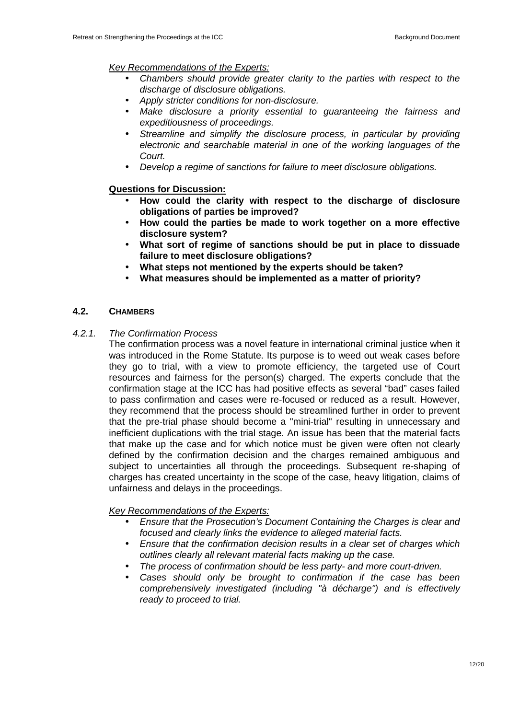## Key Recommendations of the Experts:

- Chambers should provide greater clarity to the parties with respect to the discharge of disclosure obligations.
- Apply stricter conditions for non-disclosure.
- Make disclosure a priority essential to guaranteeing the fairness and expeditiousness of proceedings.
- Streamline and simplify the disclosure process, in particular by providing electronic and searchable material in one of the working languages of the Court.
- Develop a regime of sanctions for failure to meet disclosure obligations.

## **Questions for Discussion:**

- **How could the clarity with respect to the discharge of disclosure obligations of parties be improved?**
- **How could the parties be made to work together on a more effective disclosure system?**
- **What sort of regime of sanctions should be put in place to dissuade failure to meet disclosure obligations?**
- **What steps not mentioned by the experts should be taken?**
- **What measures should be implemented as a matter of priority?**

## **4.2. CHAMBERS**

#### 4.2.1. The Confirmation Process

The confirmation process was a novel feature in international criminal justice when it was introduced in the Rome Statute. Its purpose is to weed out weak cases before they go to trial, with a view to promote efficiency, the targeted use of Court resources and fairness for the person(s) charged. The experts conclude that the confirmation stage at the ICC has had positive effects as several "bad" cases failed to pass confirmation and cases were re-focused or reduced as a result. However, they recommend that the process should be streamlined further in order to prevent that the pre-trial phase should become a "mini-trial" resulting in unnecessary and inefficient duplications with the trial stage. An issue has been that the material facts that make up the case and for which notice must be given were often not clearly defined by the confirmation decision and the charges remained ambiguous and subject to uncertainties all through the proceedings. Subsequent re-shaping of charges has created uncertainty in the scope of the case, heavy litigation, claims of unfairness and delays in the proceedings.

## Key Recommendations of the Experts:

- Ensure that the Prosecution's Document Containing the Charges is clear and focused and clearly links the evidence to alleged material facts.
- Ensure that the confirmation decision results in a clear set of charges which outlines clearly all relevant material facts making up the case.
- The process of confirmation should be less party- and more court-driven.
- Cases should only be brought to confirmation if the case has been comprehensively investigated (including "à décharge") and is effectively ready to proceed to trial.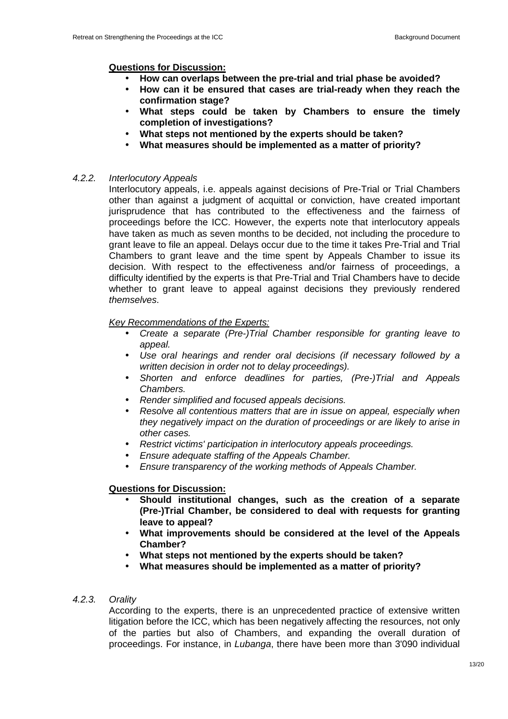## **Questions for Discussion:**

- **How can overlaps between the pre-trial and trial phase be avoided?**
- **How can it be ensured that cases are trial-ready when they reach the confirmation stage?**
- **What steps could be taken by Chambers to ensure the timely completion of investigations?**
- **What steps not mentioned by the experts should be taken?**
- **What measures should be implemented as a matter of priority?**

## 4.2.2. Interlocutory Appeals

Interlocutory appeals, i.e. appeals against decisions of Pre-Trial or Trial Chambers other than against a judgment of acquittal or conviction, have created important jurisprudence that has contributed to the effectiveness and the fairness of proceedings before the ICC. However, the experts note that interlocutory appeals have taken as much as seven months to be decided, not including the procedure to grant leave to file an appeal. Delays occur due to the time it takes Pre-Trial and Trial Chambers to grant leave and the time spent by Appeals Chamber to issue its decision. With respect to the effectiveness and/or fairness of proceedings, a difficulty identified by the experts is that Pre-Trial and Trial Chambers have to decide whether to grant leave to appeal against decisions they previously rendered themselves.

## Key Recommendations of the Experts:

- Create a separate (Pre-)Trial Chamber responsible for granting leave to appeal.
- Use oral hearings and render oral decisions (if necessary followed by a written decision in order not to delay proceedings).
- Shorten and enforce deadlines for parties, (Pre-)Trial and Appeals Chambers.
- Render simplified and focused appeals decisions.
- Resolve all contentious matters that are in issue on appeal, especially when they negatively impact on the duration of proceedings or are likely to arise in other cases.
- Restrict victims' participation in interlocutory appeals proceedings.
- Ensure adequate staffing of the Appeals Chamber.
- Ensure transparency of the working methods of Appeals Chamber.

## **Questions for Discussion:**

- **Should institutional changes, such as the creation of a separate (Pre-)Trial Chamber, be considered to deal with requests for granting leave to appeal?**
- **What improvements should be considered at the level of the Appeals Chamber?**
- **What steps not mentioned by the experts should be taken?**
- **What measures should be implemented as a matter of priority?**

## 4.2.3. Orality

According to the experts, there is an unprecedented practice of extensive written litigation before the ICC, which has been negatively affecting the resources, not only of the parties but also of Chambers, and expanding the overall duration of proceedings. For instance, in Lubanga, there have been more than 3'090 individual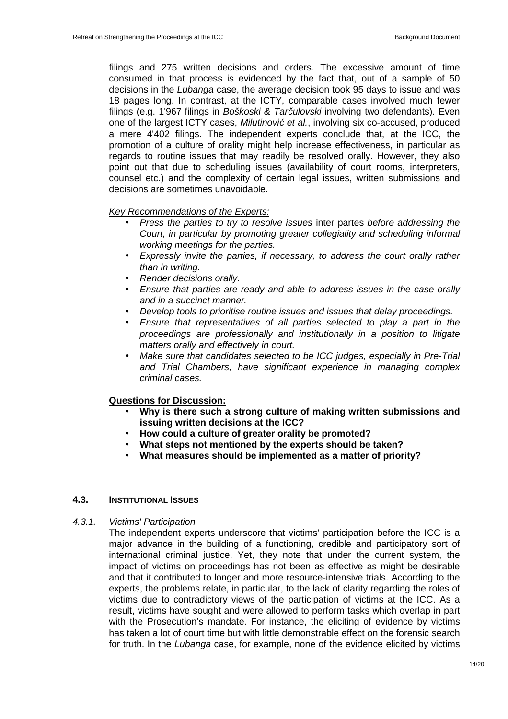filings and 275 written decisions and orders. The excessive amount of time consumed in that process is evidenced by the fact that, out of a sample of 50 decisions in the Lubanga case, the average decision took 95 days to issue and was 18 pages long. In contrast, at the ICTY, comparable cases involved much fewer filings (e.g. 1'967 filings in Boškoski & Tarčulovski involving two defendants). Even one of the largest ICTY cases, Milutinović et al., involving six co-accused, produced a mere 4'402 filings. The independent experts conclude that, at the ICC, the promotion of a culture of orality might help increase effectiveness, in particular as regards to routine issues that may readily be resolved orally. However, they also point out that due to scheduling issues (availability of court rooms, interpreters, counsel etc.) and the complexity of certain legal issues, written submissions and decisions are sometimes unavoidable.

#### Key Recommendations of the Experts:

- Press the parties to try to resolve issues inter partes before addressing the Court, in particular by promoting greater collegiality and scheduling informal working meetings for the parties.
- Expressly invite the parties, if necessary, to address the court orally rather than in writing.
- Render decisions orally.
- Ensure that parties are ready and able to address issues in the case orally and in a succinct manner.
- Develop tools to prioritise routine issues and issues that delay proceedings.
- Ensure that representatives of all parties selected to play a part in the proceedings are professionally and institutionally in a position to litigate matters orally and effectively in court.
- Make sure that candidates selected to be ICC judges, especially in Pre-Trial and Trial Chambers, have significant experience in managing complex criminal cases.

#### **Questions for Discussion:**

- **Why is there such a strong culture of making written submissions and issuing written decisions at the ICC?**
- **How could a culture of greater orality be promoted?**
- **What steps not mentioned by the experts should be taken?**
- **What measures should be implemented as a matter of priority?**

#### **4.3. INSTITUTIONAL ISSUES**

4.3.1. Victims' Participation

The independent experts underscore that victims' participation before the ICC is a major advance in the building of a functioning, credible and participatory sort of international criminal justice. Yet, they note that under the current system, the impact of victims on proceedings has not been as effective as might be desirable and that it contributed to longer and more resource-intensive trials. According to the experts, the problems relate, in particular, to the lack of clarity regarding the roles of victims due to contradictory views of the participation of victims at the ICC. As a result, victims have sought and were allowed to perform tasks which overlap in part with the Prosecution's mandate. For instance, the eliciting of evidence by victims has taken a lot of court time but with little demonstrable effect on the forensic search for truth. In the Lubanga case, for example, none of the evidence elicited by victims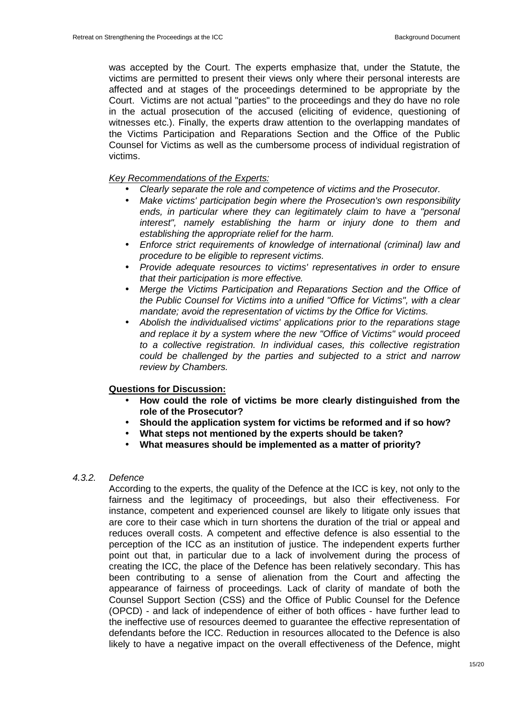was accepted by the Court. The experts emphasize that, under the Statute, the victims are permitted to present their views only where their personal interests are affected and at stages of the proceedings determined to be appropriate by the Court. Victims are not actual "parties" to the proceedings and they do have no role in the actual prosecution of the accused (eliciting of evidence, questioning of witnesses etc.). Finally, the experts draw attention to the overlapping mandates of the Victims Participation and Reparations Section and the Office of the Public Counsel for Victims as well as the cumbersome process of individual registration of victims.

### **Key Recommendations of the Experts:**

- Clearly separate the role and competence of victims and the Prosecutor.<br>• Make victims' particination begin where the Prosecution's own responsi
- Make victims' participation begin where the Prosecution's own responsibility ends, in particular where they can legitimately claim to have a "personal interest", namely establishing the harm or injury done to them and establishing the appropriate relief for the harm.
- Enforce strict requirements of knowledge of international (criminal) law and procedure to be eligible to represent victims.
- Provide adequate resources to victims' representatives in order to ensure that their participation is more effective.
- Merge the Victims Participation and Reparations Section and the Office of the Public Counsel for Victims into a unified "Office for Victims", with a clear mandate; avoid the representation of victims by the Office for Victims.
- Abolish the individualised victims' applications prior to the reparations stage and replace it by a system where the new "Office of Victims" would proceed to a collective registration. In individual cases, this collective registration could be challenged by the parties and subjected to a strict and narrow review by Chambers.

## **Questions for Discussion:**

- **How could the role of victims be more clearly distinguished from the role of the Prosecutor?**
- **Should the application system for victims be reformed and if so how?**
- **What steps not mentioned by the experts should be taken?**
- **What measures should be implemented as a matter of priority?**

## 4.3.2. Defence

According to the experts, the quality of the Defence at the ICC is key, not only to the fairness and the legitimacy of proceedings, but also their effectiveness. For instance, competent and experienced counsel are likely to litigate only issues that are core to their case which in turn shortens the duration of the trial or appeal and reduces overall costs. A competent and effective defence is also essential to the perception of the ICC as an institution of justice. The independent experts further point out that, in particular due to a lack of involvement during the process of creating the ICC, the place of the Defence has been relatively secondary. This has been contributing to a sense of alienation from the Court and affecting the appearance of fairness of proceedings. Lack of clarity of mandate of both the Counsel Support Section (CSS) and the Office of Public Counsel for the Defence (OPCD) - and lack of independence of either of both offices - have further lead to the ineffective use of resources deemed to guarantee the effective representation of defendants before the ICC. Reduction in resources allocated to the Defence is also likely to have a negative impact on the overall effectiveness of the Defence, might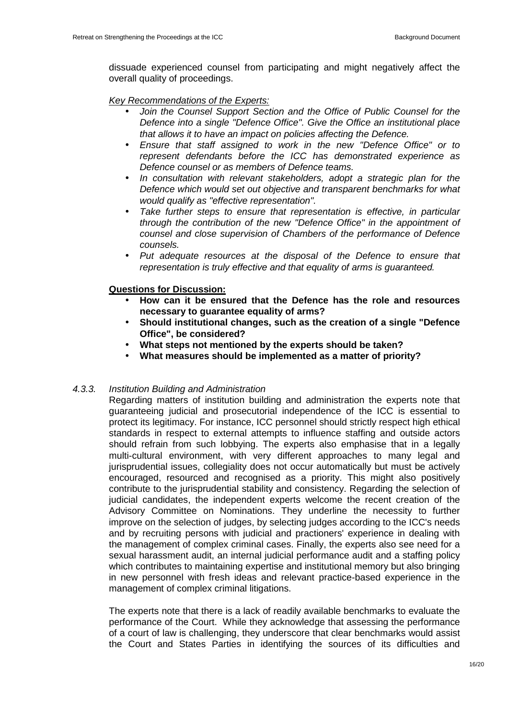dissuade experienced counsel from participating and might negatively affect the overall quality of proceedings.

## Key Recommendations of the Experts:

- Join the Counsel Support Section and the Office of Public Counsel for the Defence into a single "Defence Office". Give the Office an institutional place that allows it to have an impact on policies affecting the Defence.
- Ensure that staff assigned to work in the new "Defence Office" or to represent defendants before the ICC has demonstrated experience as Defence counsel or as members of Defence teams.
- In consultation with relevant stakeholders, adopt a strategic plan for the Defence which would set out objective and transparent benchmarks for what would qualify as "effective representation".
- Take further steps to ensure that representation is effective, in particular through the contribution of the new "Defence Office" in the appointment of counsel and close supervision of Chambers of the performance of Defence counsels.
- Put adequate resources at the disposal of the Defence to ensure that representation is truly effective and that equality of arms is guaranteed.

## **Questions for Discussion:**

- **How can it be ensured that the Defence has the role and resources necessary to guarantee equality of arms?**
- **Should institutional changes, such as the creation of a single "Defence Office", be considered?**
- **What steps not mentioned by the experts should be taken?**
- **What measures should be implemented as a matter of priority?**

## 4.3.3. Institution Building and Administration

Regarding matters of institution building and administration the experts note that guaranteeing judicial and prosecutorial independence of the ICC is essential to protect its legitimacy. For instance, ICC personnel should strictly respect high ethical standards in respect to external attempts to influence staffing and outside actors should refrain from such lobbying. The experts also emphasise that in a legally multi-cultural environment, with very different approaches to many legal and jurisprudential issues, collegiality does not occur automatically but must be actively encouraged, resourced and recognised as a priority. This might also positively contribute to the jurisprudential stability and consistency. Regarding the selection of judicial candidates, the independent experts welcome the recent creation of the Advisory Committee on Nominations. They underline the necessity to further improve on the selection of judges, by selecting judges according to the ICC's needs and by recruiting persons with judicial and practioners' experience in dealing with the management of complex criminal cases. Finally, the experts also see need for a sexual harassment audit, an internal judicial performance audit and a staffing policy which contributes to maintaining expertise and institutional memory but also bringing in new personnel with fresh ideas and relevant practice-based experience in the management of complex criminal litigations.

The experts note that there is a lack of readily available benchmarks to evaluate the performance of the Court. While they acknowledge that assessing the performance of a court of law is challenging, they underscore that clear benchmarks would assist the Court and States Parties in identifying the sources of its difficulties and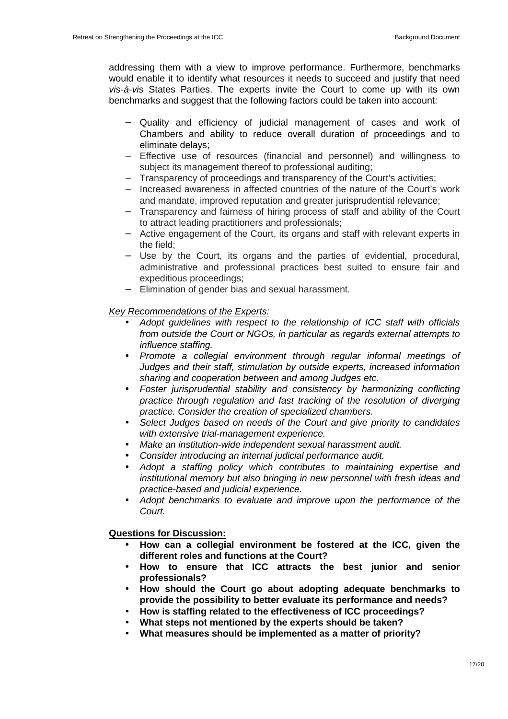addressing them with a view to improve performance. Furthermore, benchmarks would enable it to identify what resources it needs to succeed and justify that need vis-à-vis States Parties. The experts invite the Court to come up with its own benchmarks and suggest that the following factors could be taken into account:

- Quality and efficiency of judicial management of cases and work of Chambers and ability to reduce overall duration of proceedings and to eliminate delays;
- − Effective use of resources (financial and personnel) and willingness to subject its management thereof to professional auditing;
- − Transparency of proceedings and transparency of the Court's activities;
- − Increased awareness in affected countries of the nature of the Court's work and mandate, improved reputation and greater jurisprudential relevance;
- − Transparency and fairness of hiring process of staff and ability of the Court to attract leading practitioners and professionals;
- − Active engagement of the Court, its organs and staff with relevant experts in the field;
- − Use by the Court, its organs and the parties of evidential, procedural, administrative and professional practices best suited to ensure fair and expeditious proceedings;
- − Elimination of gender bias and sexual harassment.

## Key Recommendations of the Experts:

- Adopt guidelines with respect to the relationship of ICC staff with officials from outside the Court or NGOs, in particular as regards external attempts to influence staffing.
- Promote a collegial environment through regular informal meetings of Judges and their staff, stimulation by outside experts, increased information sharing and cooperation between and among Judges etc.
- Foster jurisprudential stability and consistency by harmonizing conflicting practice through regulation and fast tracking of the resolution of diverging practice. Consider the creation of specialized chambers.
- Select Judges based on needs of the Court and give priority to candidates with extensive trial-management experience.
- Make an institution-wide independent sexual harassment audit.
- Consider introducing an internal judicial performance audit.
- Adopt a staffing policy which contributes to maintaining expertise and institutional memory but also bringing in new personnel with fresh ideas and practice-based and judicial experience.
- Adopt benchmarks to evaluate and improve upon the performance of the Court.

## **Questions for Discussion:**

- **How can a collegial environment be fostered at the ICC, given the different roles and functions at the Court?**
- **How to ensure that ICC attracts the best junior and senior professionals?**
- **How should the Court go about adopting adequate benchmarks to provide the possibility to better evaluate its performance and needs?**
- **How is staffing related to the effectiveness of ICC proceedings?**
- **What steps not mentioned by the experts should be taken?**
- **What measures should be implemented as a matter of priority?**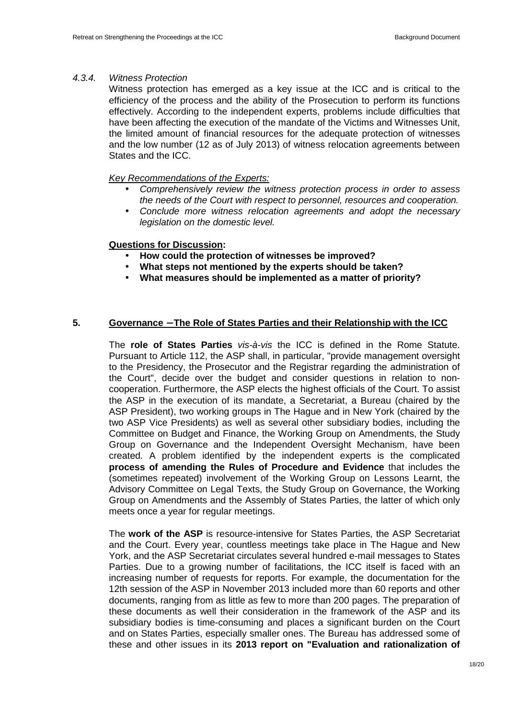#### 4.3.4. Witness Protection

Witness protection has emerged as a key issue at the ICC and is critical to the efficiency of the process and the ability of the Prosecution to perform its functions effectively. According to the independent experts, problems include difficulties that have been affecting the execution of the mandate of the Victims and Witnesses Unit, the limited amount of financial resources for the adequate protection of witnesses and the low number (12 as of July 2013) of witness relocation agreements between States and the ICC.

#### Key Recommendations of the Experts:

- Comprehensively review the witness protection process in order to assess the needs of the Court with respect to personnel, resources and cooperation.
- Conclude more witness relocation agreements and adopt the necessary legislation on the domestic level.

#### **Questions for Discussion:**

- **How could the protection of witnesses be improved?**
- **What steps not mentioned by the experts should be taken?**
- **What measures should be implemented as a matter of priority?**

#### **5. Governance** − **The Role of States Parties and their Relationship with the ICC**

The **role of States Parties** vis-à-vis the ICC is defined in the Rome Statute. Pursuant to Article 112, the ASP shall, in particular, "provide management oversight to the Presidency, the Prosecutor and the Registrar regarding the administration of the Court", decide over the budget and consider questions in relation to noncooperation. Furthermore, the ASP elects the highest officials of the Court. To assist the ASP in the execution of its mandate, a Secretariat, a Bureau (chaired by the ASP President), two working groups in The Hague and in New York (chaired by the two ASP Vice Presidents) as well as several other subsidiary bodies, including the Committee on Budget and Finance, the Working Group on Amendments, the Study Group on Governance and the Independent Oversight Mechanism, have been created. A problem identified by the independent experts is the complicated **process of amending the Rules of Procedure and Evidence** that includes the (sometimes repeated) involvement of the Working Group on Lessons Learnt, the Advisory Committee on Legal Texts, the Study Group on Governance, the Working Group on Amendments and the Assembly of States Parties, the latter of which only meets once a year for regular meetings.

The **work of the ASP** is resource-intensive for States Parties, the ASP Secretariat and the Court. Every year, countless meetings take place in The Hague and New York, and the ASP Secretariat circulates several hundred e-mail messages to States Parties. Due to a growing number of facilitations, the ICC itself is faced with an increasing number of requests for reports. For example, the documentation for the 12th session of the ASP in November 2013 included more than 60 reports and other documents, ranging from as little as few to more than 200 pages. The preparation of these documents as well their consideration in the framework of the ASP and its subsidiary bodies is time-consuming and places a significant burden on the Court and on States Parties, especially smaller ones. The Bureau has addressed some of these and other issues in its **2013 report on "Evaluation and rationalization of**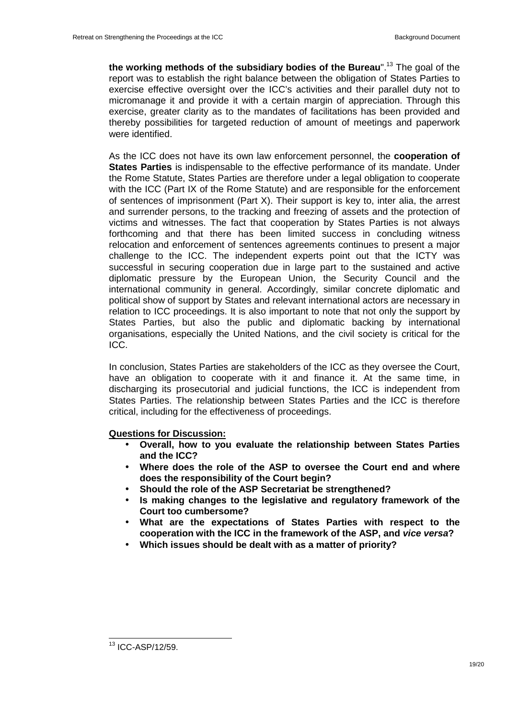**the working methods of the subsidiary bodies of the Bureau**".<sup>13</sup> The goal of the report was to establish the right balance between the obligation of States Parties to exercise effective oversight over the ICC's activities and their parallel duty not to micromanage it and provide it with a certain margin of appreciation. Through this exercise, greater clarity as to the mandates of facilitations has been provided and thereby possibilities for targeted reduction of amount of meetings and paperwork were identified.

As the ICC does not have its own law enforcement personnel, the **cooperation of States Parties** is indispensable to the effective performance of its mandate. Under the Rome Statute, States Parties are therefore under a legal obligation to cooperate with the ICC (Part IX of the Rome Statute) and are responsible for the enforcement of sentences of imprisonment (Part X). Their support is key to, inter alia, the arrest and surrender persons, to the tracking and freezing of assets and the protection of victims and witnesses. The fact that cooperation by States Parties is not always forthcoming and that there has been limited success in concluding witness relocation and enforcement of sentences agreements continues to present a major challenge to the ICC. The independent experts point out that the ICTY was successful in securing cooperation due in large part to the sustained and active diplomatic pressure by the European Union, the Security Council and the international community in general. Accordingly, similar concrete diplomatic and political show of support by States and relevant international actors are necessary in relation to ICC proceedings. It is also important to note that not only the support by States Parties, but also the public and diplomatic backing by international organisations, especially the United Nations, and the civil society is critical for the ICC.

In conclusion, States Parties are stakeholders of the ICC as they oversee the Court, have an obligation to cooperate with it and finance it. At the same time, in discharging its prosecutorial and judicial functions, the ICC is independent from States Parties. The relationship between States Parties and the ICC is therefore critical, including for the effectiveness of proceedings.

**Questions for Discussion:** 

- **Overall, how to you evaluate the relationship between States Parties and the ICC?**
- **Where does the role of the ASP to oversee the Court end and where does the responsibility of the Court begin?**
- **Should the role of the ASP Secretariat be strengthened?**
- **Is making changes to the legislative and regulatory framework of the Court too cumbersome?**
- **What are the expectations of States Parties with respect to the cooperation with the ICC in the framework of the ASP, and vice versa?**
- **Which issues should be dealt with as a matter of priority?**

 $\overline{\phantom{a}}$ 

 $13$  ICC-ASP/12/59.